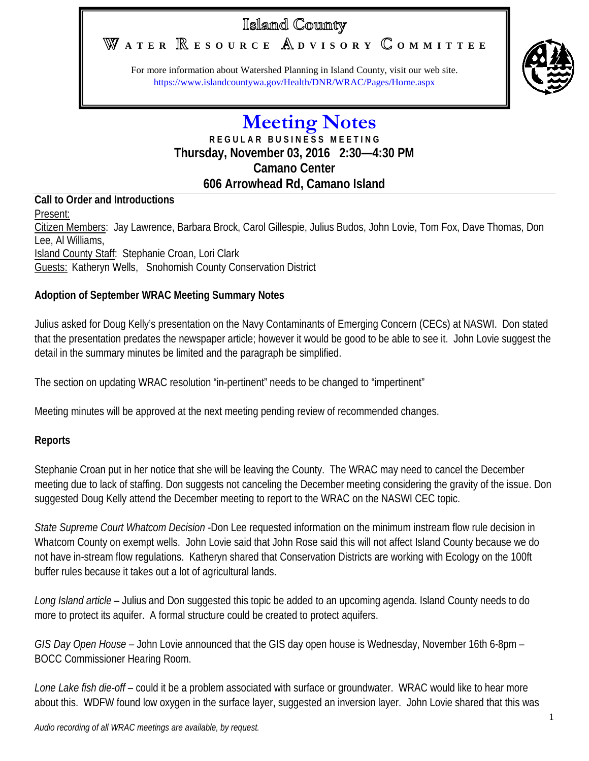# Islaind County

# **A T E R E S O U R C E D V I S O R Y O M M I T T E E**

For more information about Watershed Planning in Island County, visit our web site. <https://www.islandcountywa.gov/Health/DNR/WRAC/Pages/Home.aspx>



## **Meeting Notes R E G U L A R B U S I N E S S M E E T I N G Thursday, November 03, 2016 2:30—4:30 PM Camano Center 606 Arrowhead Rd, Camano Island**

# **Call to Order and Introductions**

Present: Citizen Members: Jay Lawrence, Barbara Brock, Carol Gillespie, Julius Budos, John Lovie, Tom Fox, Dave Thomas, Don Lee, Al Williams, Island County Staff: Stephanie Croan, Lori Clark Guests: Katheryn Wells, Snohomish County Conservation District

## **Adoption of September WRAC Meeting Summary Notes**

Julius asked for Doug Kelly's presentation on the Navy Contaminants of Emerging Concern (CECs) at NASWI. Don stated that the presentation predates the newspaper article; however it would be good to be able to see it. John Lovie suggest the detail in the summary minutes be limited and the paragraph be simplified.

The section on updating WRAC resolution "in-pertinent" needs to be changed to "impertinent"

Meeting minutes will be approved at the next meeting pending review of recommended changes.

### **Reports**

Stephanie Croan put in her notice that she will be leaving the County. The WRAC may need to cancel the December meeting due to lack of staffing. Don suggests not canceling the December meeting considering the gravity of the issue. Don suggested Doug Kelly attend the December meeting to report to the WRAC on the NASWI CEC topic.

*State Supreme Court Whatcom Decision* -Don Lee requested information on the minimum instream flow rule decision in Whatcom County on exempt wells. John Lovie said that John Rose said this will not affect Island County because we do not have in-stream flow regulations. Katheryn shared that Conservation Districts are working with Ecology on the 100ft buffer rules because it takes out a lot of agricultural lands.

*Long Island article –* Julius and Don suggested this topic be added to an upcoming agenda. Island County needs to do more to protect its aquifer. A formal structure could be created to protect aquifers.

*GIS Day Open House –* John Lovie announced that the GIS day open house is Wednesday, November 16th 6-8pm – BOCC Commissioner Hearing Room.

*Lone Lake fish die-off* – could it be a problem associated with surface or groundwater. WRAC would like to hear more about this. WDFW found low oxygen in the surface layer, suggested an inversion layer. John Lovie shared that this was